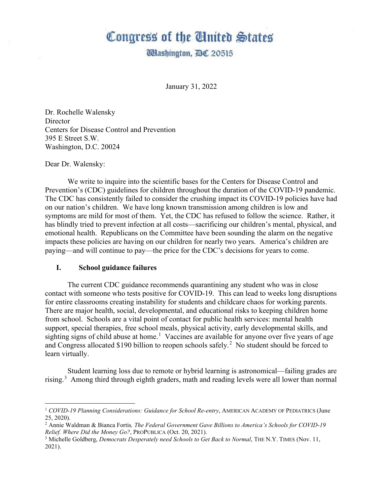# Congress of the Ginited States

**Washington, AC 20515** 

January 31, 2022

Dr. Rochelle Walensky **Director** Centers for Disease Control and Prevention 395 E Street S.W. Washington, D.C. 20024

Dear Dr. Walensky:

We write to inquire into the scientific bases for the Centers for Disease Control and Prevention's (CDC) guidelines for children throughout the duration of the COVID-19 pandemic. The CDC has consistently failed to consider the crushing impact its COVID-19 policies have had on our nation's children. We have long known transmission among children is low and symptoms are mild for most of them. Yet, the CDC has refused to follow the science. Rather, it has blindly tried to prevent infection at all costs—sacrificing our children's mental, physical, and emotional health. Republicans on the Committee have been sounding the alarm on the negative impacts these policies are having on our children for nearly two years. America's children are paying—and will continue to pay—the price for the CDC's decisions for years to come.

#### **I. School guidance failures**

The current CDC guidance recommends quarantining any student who was in close contact with someone who tests positive for COVID-19. This can lead to weeks long disruptions for entire classrooms creating instability for students and childcare chaos for working parents. There are major health, social, developmental, and educational risks to keeping children home from school. Schools are a vital point of contact for public health services: mental health support, special therapies, free school meals, physical activity, early developmental skills, and sighting signs of child abuse at home.<sup>[1](#page-0-0)</sup> Vaccines are available for anyone over five years of age and Congress allocated \$190 billion to reopen schools safely.<sup>[2](#page-0-1)</sup> No student should be forced to learn virtually.

Student learning loss due to remote or hybrid learning is astronomical—failing grades are rising.[3](#page-0-2) Among third through eighth graders, math and reading levels were all lower than normal

<span id="page-0-0"></span><sup>1</sup> *COVID-19 Planning Considerations: Guidance for School Re-entry*, AMERICAN ACADEMY OF PEDIATRICS (June 25, 2020).

<span id="page-0-1"></span><sup>2</sup> Annie Waldman & Bianca Fortis*, The Federal Government Gave Billions to America's Schools for COVID-19 Relief. Where Did the Money Go?*, PROPUBLICA (Oct. 20, 2021).

<span id="page-0-2"></span><sup>&</sup>lt;sup>3</sup> Michelle Goldberg, *Democrats Desperately need Schools to Get Back to Normal*, THE N.Y. TIMES (Nov. 11, 2021).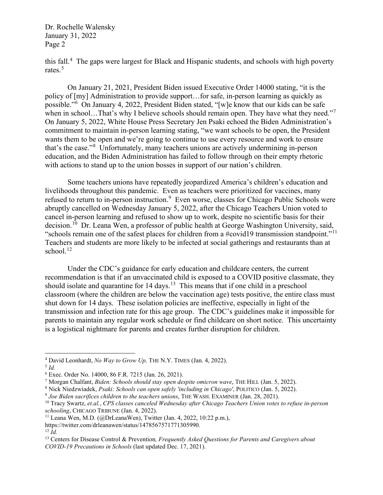this fall. [4](#page-1-0) The gaps were largest for Black and Hispanic students, and schools with high poverty rates.<sup>[5](#page-1-1)</sup>

On January 21, 2021, President Biden issued Executive Order 14000 stating, "it is the policy of [my] Administration to provide support…for safe, in-person learning as quickly as possible."[6](#page-1-2) On January 4, 2022, President Biden stated, "[w]e know that our kids can be safe when in school...That's why I believe schools should remain open. They have what they need."<sup>[7](#page-1-3)</sup> On January 5, 2022, White House Press Secretary Jen Psaki echoed the Biden Administration's commitment to maintain in-person learning stating, "we want schools to be open, the President wants them to be open and we're going to continue to use every resource and work to ensure that's the case."[8](#page-1-4) Unfortunately, many teachers unions are actively undermining in-person education, and the Biden Administration has failed to follow through on their empty rhetoric with actions to stand up to the union bosses in support of our nation's children.

Some teachers unions have repeatedly jeopardized America's children's education and livelihoods throughout this pandemic. Even as teachers were prioritized for vaccines, many refused to return to in-person instruction.<sup>[9](#page-1-5)</sup> Even worse, classes for Chicago Public Schools were abruptly cancelled on Wednesday January 5, 2022, after the Chicago Teachers Union voted to cancel in-person learning and refused to show up to work, despite no scientific basis for their decision.<sup>10</sup> Dr. Leana Wen, a professor of public health at George Washington University, said, "schools remain one of the safest places for children from a #covid19 transmission standpoint."[11](#page-1-7) Teachers and students are more likely to be infected at social gatherings and restaurants than at school. $12$ 

Under the CDC's guidance for early education and childcare centers, the current recommendation is that if an unvaccinated child is exposed to a COVID positive classmate, they should isolate and quarantine for  $14 \text{ days}$ .<sup>[13](#page-1-9)</sup> This means that if one child in a preschool classroom (where the children are below the vaccination age) tests positive, the entire class must shut down for 14 days. These isolation policies are ineffective, especially in light of the transmission and infection rate for this age group. The CDC's guidelines make it impossible for parents to maintain any regular work schedule or find childcare on short notice. This uncertainty is a logistical nightmare for parents and creates further disruption for children.

<span id="page-1-0"></span><sup>4</sup> David Leonhardt, *No Way to Grow Up,* THE N.Y. TIMES (Jan. 4, 2022).

<span id="page-1-1"></span><sup>5</sup> *Id.*

<span id="page-1-2"></span><sup>6</sup> Exec. Order No. 14000, 86 F.R. 7215 (Jan. 26, 2021).

<span id="page-1-3"></span><sup>7</sup> Morgan Chalfant, *Biden: Schools should stay open despite omicron wave*, THE HILL (Jan. 5, 2022).

<span id="page-1-4"></span><sup>8</sup> Nick Niedzwiadek, *Psaki: Schools can open safely 'including in Chicago'*, POLITICO (Jan. 5, 2022).

<span id="page-1-5"></span>

<span id="page-1-6"></span><sup>&</sup>lt;sup>10</sup> Tracy Swartz, et.al., CPS classes canceled Wednesday after Chicago Teachers Union votes to refuse in-person *schooling*, CHICAGO TRIBUNE (Jan. 4, 2022).

<span id="page-1-7"></span><sup>&</sup>lt;sup>11</sup> Leana Wen, M.D. (@DrLeanaWen), Twitter (Jan. 4, 2022, 10:22 p.m.),

https://twitter.com/drleanawen/status/1478567571771305990. 12 *Id.*

<span id="page-1-8"></span>

<span id="page-1-9"></span><sup>13</sup> Centers for Disease Control & Prevention*, Frequently Asked Questions for Parents and Caregivers about COVID-19 Precautions in Schools* (last updated Dec. 17, 2021).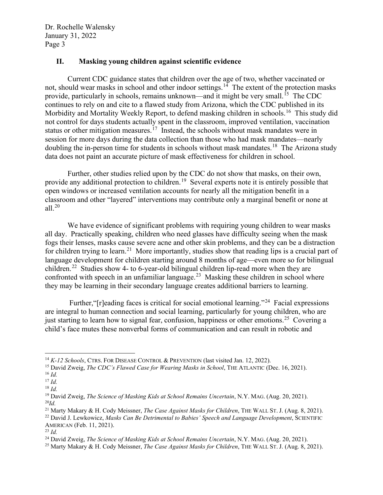### **II. Masking young children against scientific evidence**

Current CDC guidance states that children over the age of two, whether vaccinated or not, should wear masks in school and other indoor settings.<sup>[14](#page-2-0)</sup> The extent of the protection masks provide, particularly in schools, remains unknown—and it might be very small.[15](#page-2-1) The CDC continues to rely on and cite to a flawed study from Arizona, which the CDC published in its Morbidity and Mortality Weekly Report, to defend masking children in schools.<sup>[16](#page-2-2)</sup> This study did not control for days students actually spent in the classroom, improved ventilation, vaccination status or other mitigation measures.<sup>[17](#page-2-3)</sup> Instead, the schools without mask mandates were in session for more days during the data collection than those who had mask mandates—nearly doubling the in-person time for students in schools without mask mandates.<sup>[18](#page-2-4)</sup> The Arizona study data does not paint an accurate picture of mask effectiveness for children in school.

Further, other studies relied upon by the CDC do not show that masks, on their own, provide any additional protection to children.<sup>[19](#page-2-5)</sup> Several experts note it is entirely possible that open windows or increased ventilation accounts for nearly all the mitigation benefit in a classroom and other "layered" interventions may contribute only a marginal benefit or none at all. $20$ 

We have evidence of significant problems with requiring young children to wear masks all day. Practically speaking, children who need glasses have difficulty seeing when the mask fogs their lenses, masks cause severe acne and other skin problems, and they can be a distraction for children trying to learn.<sup>[21](#page-2-7)</sup> More importantly, studies show that reading lips is a crucial part of language development for children starting around 8 months of age—even more so for bilingual children.<sup>[22](#page-2-8)</sup> Studies show 4- to 6-year-old bilingual children lip-read more when they are confronted with speech in an unfamiliar language.<sup>[23](#page-2-9)</sup> Masking these children in school where they may be learning in their secondary language creates additional barriers to learning.

Further, " $r$ ] reading faces is critical for social emotional learning."<sup>[24](#page-2-10)</sup> Facial expressions are integral to human connection and social learning, particularly for young children, who are just starting to learn how to signal fear, confusion, happiness or other emotions.<sup>[25](#page-2-11)</sup> Covering a child's face mutes these nonverbal forms of communication and can result in robotic and

<span id="page-2-0"></span><sup>&</sup>lt;sup>14</sup> *K-12 Schools*, CTRS. FOR DISEASE CONTROL & PREVENTION (last visited Jan. 12, 2022).

<span id="page-2-1"></span><sup>15</sup> David Zweig, *The CDC's Flawed Case for Wearing Masks in School*, THE ATLANTIC (Dec. 16, 2021).

<span id="page-2-2"></span><sup>16</sup> *Id.*

<span id="page-2-3"></span><sup>17</sup> *Id.*

<span id="page-2-4"></span><sup>18</sup> *Id.*

<span id="page-2-5"></span><sup>19</sup> David Zweig, *The Science of Masking Kids at School Remains Uncertain*, N.Y. MAG. (Aug. 20, 2021). <sup>20</sup>*Id.*

<span id="page-2-8"></span><span id="page-2-7"></span><span id="page-2-6"></span><sup>21</sup> Marty Makary & H. Cody Meissner, *The Case Against Masks for Children*, THE WALL ST. J. (Aug. 8, 2021). <sup>22</sup> David J. Lewkowicz, *Masks Can Be Detrimental to Babies' Speech and Language Development*, SCIENTIFIC AMERICAN (Feb. 11, 2021).

<span id="page-2-9"></span><sup>23</sup> *Id.*

<span id="page-2-10"></span><sup>24</sup> David Zweig, *The Science of Masking Kids at School Remains Uncertain*, N.Y. MAG. (Aug. 20, 2021).

<span id="page-2-11"></span><sup>25</sup> Marty Makary & H. Cody Meissner, *The Case Against Masks for Children*, THE WALL ST. J. (Aug. 8, 2021).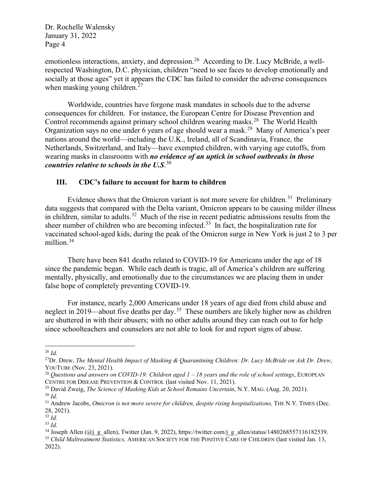emotionless interactions, anxiety, and depression.<sup>[26](#page-3-0)</sup> According to Dr. Lucy McBride, a wellrespected Washington, D.C. physician, children "need to see faces to develop emotionally and socially at those ages" yet it appears the CDC has failed to consider the adverse consequences when masking young children.<sup>[27](#page-3-1)</sup>

Worldwide, countries have forgone mask mandates in schools due to the adverse consequences for children. For instance, the European Centre for Disease Prevention and Control recommends against primary school children wearing masks.<sup>[28](#page-3-2)</sup> The World Health Organization says no one under 6 years of age should wear a mask.[29](#page-3-3) Many of America's peer nations around the world—including the U.K., Ireland, all of Scandinavia, France, the Netherlands, Switzerland, and Italy—have exempted children, with varying age cutoffs, from wearing masks in classrooms with *no evidence of an uptick in school outbreaks in those countries relative to schools in the U.S*. [30](#page-3-4)

## **III. CDC's failure to account for harm to children**

Evidence shows that the Omicron variant is not more severe for children.<sup>[31](#page-3-5)</sup> Preliminary data suggests that compared with the Delta variant, Omicron appears to be causing milder illness in children, similar to adults.<sup>[32](#page-3-6)</sup> Much of the rise in recent pediatric admissions results from the sheer number of children who are becoming infected.<sup>[33](#page-3-7)</sup> In fact, the hospitalization rate for vaccinated school-aged kids, during the peak of the Omicron surge in New York is just 2 to 3 per million.<sup>[34](#page-3-8)</sup>

There have been 841 deaths related to COVID-19 for Americans under the age of 18 since the pandemic began. While each death is tragic, all of America's children are suffering mentally, physically, and emotionally due to the circumstances we are placing them in under false hope of completely preventing COVID-19.

For instance, nearly 2,000 Americans under 18 years of age died from child abuse and neglect in 2019—about five deaths per day.<sup>[35](#page-3-9)</sup> These numbers are likely higher now as children are shuttered in with their abusers; with no other adults around they can reach out to for help since schoolteachers and counselors are not able to look for and report signs of abuse.

<span id="page-3-0"></span><sup>26</sup> *Id.*

<span id="page-3-1"></span><sup>27</sup>Dr. Drew, *The Mental Health Impact of Masking & Quarantining Children: Dr. Lucy McBride on Ask Dr. Drew*, YOUTUBE (Nov. 23, 2021).

<span id="page-3-2"></span><sup>28</sup> *Questions and answers on COVID-19: Children aged 1 – 18 years and the role of school settings*, EUROPEAN CENTRE FOR DISEASE PREVENTION & CONTROL (last visited Nov. 11, 2021).

<span id="page-3-4"></span><span id="page-3-3"></span><sup>29</sup> David Zweig, *The Science of Masking Kids at School Remains Uncertain*, N.Y. MAG. (Aug. 20, 2021). <sup>30</sup> *Id.*

<span id="page-3-5"></span><sup>31</sup> Andrew Jacobs, *Omicron is not more severe for children, despite rising hospitalizations,* THE N.Y. TIMES (Dec. 28, 2021).

<span id="page-3-6"></span><sup>32</sup> *Id.*

<span id="page-3-7"></span><sup>33</sup> *Id.*

<span id="page-3-8"></span><sup>&</sup>lt;sup>34</sup> Joseph Allen (@j\_g\_allen), Twitter (Jan. 9, 2022), https://twitter.com/j\_g\_allen/status/1480268557116182539. <sup>35</sup> *Child Maltreatment Statistics,* AMERICAN SOCIETY FOR THE POSITIVE CARE OF CHILDREN (last visited Jan. 13,

<span id="page-3-9"></span><sup>2022).</sup>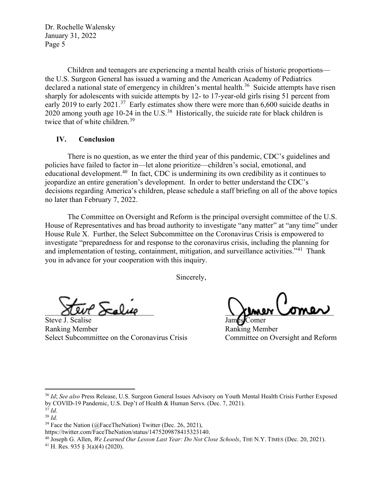Children and teenagers are experiencing a mental health crisis of historic proportions the U.S. Surgeon General has issued a warning and the American Academy of Pediatrics declared a national state of emergency in children's mental health.<sup>[36](#page-4-0)</sup> Suicide attempts have risen sharply for adolescents with suicide attempts by 12- to 17-year-old girls rising 51 percent from early 2019 to early 2021.<sup>[37](#page-4-1)</sup> Early estimates show there were more than  $6,600$  suicide deaths in 2020 among youth age 10-24 in the U.S.<sup>38</sup> Historically, the suicide rate for black children is twice that of white children.<sup>[39](#page-4-3)</sup>

#### **IV. Conclusion**

There is no question, as we enter the third year of this pandemic, CDC's guidelines and policies have failed to factor in—let alone prioritize—children's social, emotional, and educational development.<sup>[40](#page-4-4)</sup> In fact, CDC is undermining its own credibility as it continues to jeopardize an entire generation's development. In order to better understand the CDC's decisions regarding America's children, please schedule a staff briefing on all of the above topics no later than February 7, 2022.

The Committee on Oversight and Reform is the principal oversight committee of the U.S. House of Representatives and has broad authority to investigate "any matter" at "any time" under House Rule X. Further, the Select Subcommittee on the Coronavirus Crisis is empowered to investigate "preparedness for and response to the coronavirus crisis, including the planning for and implementation of testing, containment, mitigation, and surveillance activities."<sup>[41](#page-4-5)</sup> Thank you in advance for your cooperation with this inquiry.

Sincerely,

Steve J. Scalise James Comer Ranking Member Ranking Member Select Subcommittee on the Coronavirus Crisis Committee on Oversight and Reform

 $\chi$ uur oralise aastal  $\chi$ umer Comer

<span id="page-4-0"></span><sup>36</sup> *Id*; *See also* Press Release, U.S. Surgeon General Issues Advisory on Youth Mental Health Crisis Further Exposed by COVID-19 Pandemic, U.S. Dep't of Health & Human Servs. (Dec. 7, 2021). 37 *Id.*

<span id="page-4-2"></span><span id="page-4-1"></span><sup>38</sup> *Id.*

 $39$  Face the Nation (@FaceTheNation) Twitter (Dec. 26, 2021),

<span id="page-4-3"></span>https://twitter.com/FaceTheNation/status/1475209878415323140.

<span id="page-4-4"></span><sup>40</sup> Joseph G. Allen, *We Learned Our Lesson Last Year: Do Not Close Schools*, THE N.Y. TIMES (Dec. 20, 2021).

<span id="page-4-5"></span><sup>&</sup>lt;sup>41</sup> H. Res. 935 § 3(a)(4) (2020).